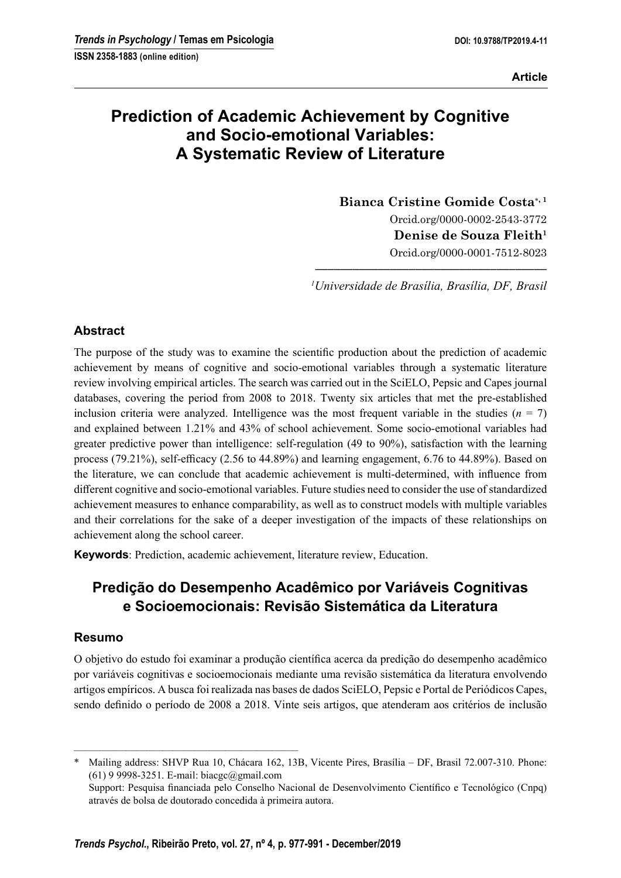# Prediction of Academic Achievement by Cognitive and Socio-emotional Variables: A Systematic Review of Literature

Bianca Cristine Gomide Costa<sup>\*, 1</sup> Orcid.org/0000-0002-2543-3772 Denise de Souza Fleith<sup>1</sup> Orcid.org/0000-0001-7512-8023

––––––––––––––––––––––––––––––––––––– <sup>1</sup>Universidade de Brasília, Brasília, DF, Brasil

## Abstract

The purpose of the study was to examine the scientific production about the prediction of academic achievement by means of cognitive and socio-emotional variables through a systematic literature review involving empirical articles. The search was carried out in the SciELO, Pepsic and Capes journal databases, covering the period from 2008 to 2018. Twenty six articles that met the pre-established inclusion criteria were analyzed. Intelligence was the most frequent variable in the studies ( $n = 7$ ) and explained between 1.21% and 43% of school achievement. Some socio-emotional variables had greater predictive power than intelligence: self-regulation (49 to 90%), satisfaction with the learning process (79.21%), self-efficacy (2.56 to 44.89%) and learning engagement,  $6.76$  to 44.89%). Based on the literature, we can conclude that academic achievement is multi-determined, with influence from different cognitive and socio-emotional variables. Future studies need to consider the use of standardized achievement measures to enhance comparability, as well as to construct models with multiple variables and their correlations for the sake of a deeper investigation of the impacts of these relationships on achievement along the school career.

Keywords: Prediction, academic achievement, literature review, Education.

## Predição do Desempenho Acadêmico por Variáveis Cognitivas e Socioemocionais: Revisão Sistemática da Literatura

## Resumo

O objetivo do estudo foi examinar a produção científica acerca da predição do desempenho acadêmico por variáveis cognitivas e socioemocionais mediante uma revisão sistemática da literatura envolvendo artigos empíricos. A busca foi realizada nas bases de dados SciELO, Pepsic e Portal de Periódicos Capes, sendo definido o período de 2008 a 2018. Vinte seis artigos, que atenderam aos critérios de inclusão

–––––––––––––––––––––––––––––––––––––––––––

Mailing address: SHVP Rua 10, Chácara 162, 13B, Vicente Pires, Brasília – DF, Brasil 72.007-310. Phone: (61) 9 9998-3251. E-mail: biacgc@gmail.com

Support: Pesquisa financiada pelo Conselho Nacional de Desenvolvimento Científico e Tecnológico (Cnpq) através de bolsa de doutorado concedida à primeira autora.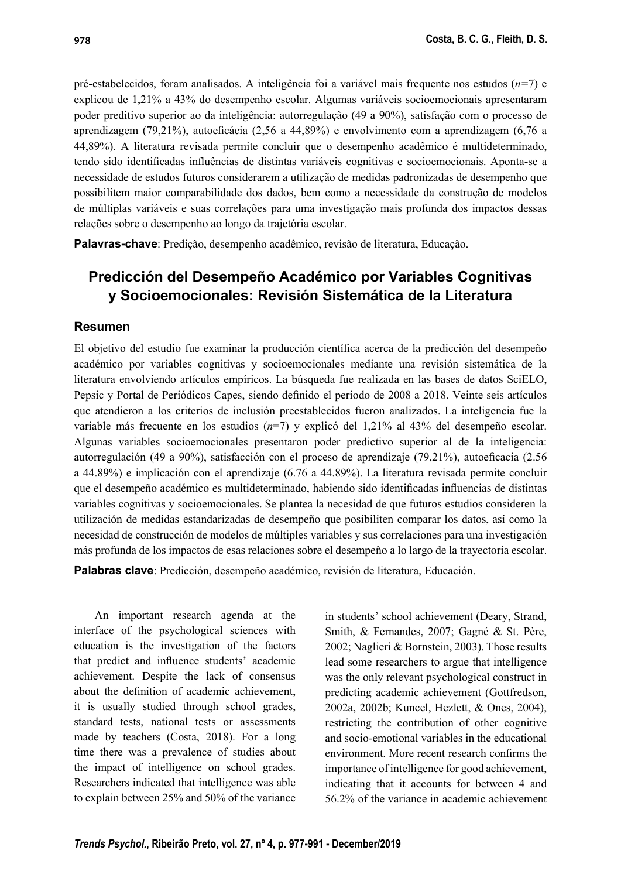pré-estabelecidos, foram analisados. A inteligência foi a variável mais frequente nos estudos  $(n=7)$  e explicou de 1,21% a 43% do desempenho escolar. Algumas variáveis socioemocionais apresentaram poder preditivo superior ao da inteligência: autorregulação (49 a 90%), satisfação com o processo de aprendizagem (79,21%), autoeficácia (2,56 a 44,89%) e envolvimento com a aprendizagem (6,76 a 44,89%). A literatura revisada permite concluir que o desempenho acadêmico é multideterminado, tendo sido identificadas influências de distintas variáveis cognitivas e socioemocionais. Aponta-se a necessidade de estudos futuros considerarem a utilização de medidas padronizadas de desempenho que possibilitem maior comparabilidade dos dados, bem como a necessidade da construção de modelos de múltiplas variáveis e suas correlações para uma investigação mais profunda dos impactos dessas relações sobre o desempenho ao longo da trajetória escolar.

Palavras-chave: Predição, desempenho acadêmico, revisão de literatura, Educação.

## Predicción del Desempeño Académico por Variables Cognitivas y Socioemocionales: Revisión Sistemática de la Literatura

#### Resumen

El objetivo del estudio fue examinar la producción científica acerca de la predicción del desempeño académico por variables cognitivas y socioemocionales mediante una revisión sistemática de la literatura envolviendo artículos empíricos. La búsqueda fue realizada en las bases de datos SciELO, Pepsic y Portal de Periódicos Capes, siendo definido el período de 2008 a 2018. Veinte seis artículos que atendieron a los criterios de inclusión preestablecidos fueron analizados. La inteligencia fue la variable más frecuente en los estudios  $(n=7)$  y explicó del 1,21% al 43% del desempeño escolar. Algunas variables socioemocionales presentaron poder predictivo superior al de la inteligencia: autorregulación (49 a 90%), satisfacción con el proceso de aprendizaje (79,21%), autoeficacia (2.56 a 44.89%) e implicación con el aprendizaje (6.76 a 44.89%). La literatura revisada permite concluir que el desempeño académico es multideterminado, habiendo sido identificadas influencias de distintas variables cognitivas y socioemocionales. Se plantea la necesidad de que futuros estudios consideren la utilización de medidas estandarizadas de desempeño que posibiliten comparar los datos, así como la necesidad de construcción de modelos de múltiples variables y sus correlaciones para una investigación más profunda de los impactos de esas relaciones sobre el desempeño a lo largo de la trayectoria escolar.

Palabras clave: Predicción, desempeño académico, revisión de literatura, Educación.

An important research agenda at the interface of the psychological sciences with education is the investigation of the factors that predict and influence students' academic achievement. Despite the lack of consensus about the definition of academic achievement, it is usually studied through school grades, standard tests, national tests or assessments made by teachers (Costa, 2018). For a long time there was a prevalence of studies about the impact of intelligence on school grades. Researchers indicated that intelligence was able to explain between 25% and 50% of the variance

in students' school achievement (Deary, Strand, Smith, & Fernandes, 2007; Gagné & St. Père, 2002; Naglieri & Bornstein, 2003). Those results lead some researchers to argue that intelligence was the only relevant psychological construct in predicting academic achievement (Gottfredson, 2002a, 2002b; Kuncel, Hezlett, & Ones, 2004), restricting the contribution of other cognitive and socio-emotional variables in the educational environment. More recent research confirms the importance of intelligence for good achievement, indicating that it accounts for between 4 and 56.2% of the variance in academic achievement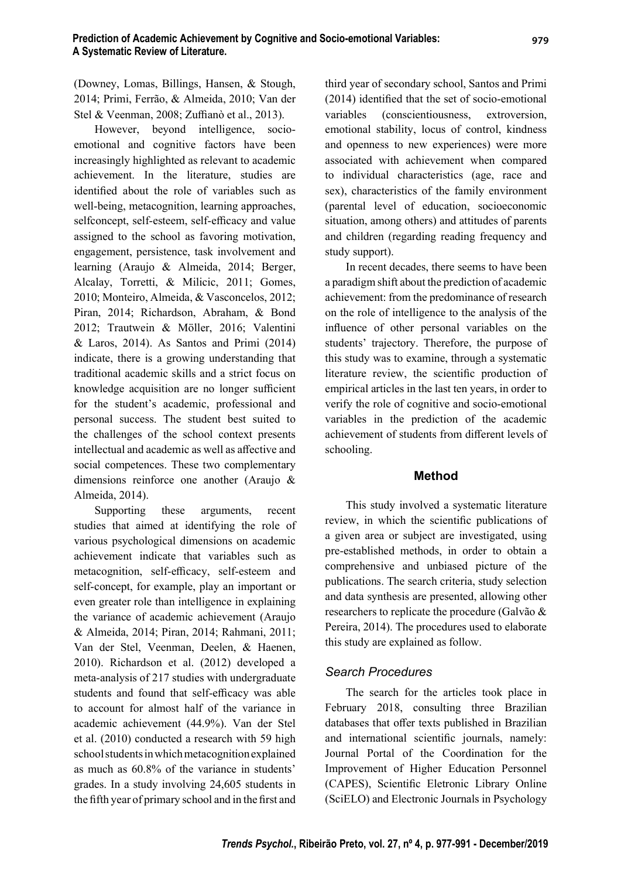(Downey, Lomas, Billings, Hansen, & Stough, 2014; Primi, Ferrão, & Almeida, 2010; Van der Stel & Veenman, 2008; Zuffianò et al., 2013).

However, beyond intelligence, socioemotional and cognitive factors have been increasingly highlighted as relevant to academic achievement. In the literature, studies are identified about the role of variables such as well-being, metacognition, learning approaches, selfconcept, self-esteem, self-efficacy and value assigned to the school as favoring motivation, engagement, persistence, task involvement and learning (Araujo & Almeida, 2014; Berger, Alcalay, Torretti, & Milicic, 2011; Gomes, 2010; Monteiro, Almeida, & Vasconcelos, 2012; Piran, 2014; Richardson, Abraham, & Bond 2012; Trautwein & Möller, 2016; Valentini  $& Laros, 2014$ . As Santos and Primi (2014) indicate, there is a growing understanding that traditional academic skills and a strict focus on knowledge acquisition are no longer sufficient for the student's academic, professional and personal success. The student best suited to the challenges of the school context presents intellectual and academic as well as affective and social competences. These two complementary dimensions reinforce one another (Araujo & Almeida, 2014).

Supporting these arguments, recent studies that aimed at identifying the role of various psychological dimensions on academic achievement indicate that variables such as metacognition, self-efficacy, self-esteem and self-concept, for example, play an important or even greater role than intelligence in explaining the variance of academic achievement (Araujo & Almeida, 2014; Piran, 2014; Rahmani, 2011; Van der Stel, Veenman, Deelen, & Haenen, 2010). Richardson et al. (2012) developed a meta-analysis of 217 studies with undergraduate students and found that self-efficacy was able to account for almost half of the variance in academic achievement (44.9%). Van der Stel et al. (2010) conducted a research with 59 high school students in which metacognition explained as much as 60.8% of the variance in students' grades. In a study involving 24,605 students in the fifth year of primary school and in the first and third year of secondary school, Santos and Primi  $(2014)$  identified that the set of socio-emotional variables (conscientiousness, extroversion, emotional stability, locus of control, kindness and openness to new experiences) were more associated with achievement when compared to individual characteristics (age, race and sex), characteristics of the family environment (parental level of education, socioeconomic situation, among others) and attitudes of parents and children (regarding reading frequency and study support).

In recent decades, there seems to have been a paradigm shift about the prediction of academic achievement: from the predominance of research on the role of intelligence to the analysis of the influence of other personal variables on the students' trajectory. Therefore, the purpose of this study was to examine, through a systematic literature review, the scientific production of empirical articles in the last ten years, in order to verify the role of cognitive and socio-emotional variables in the prediction of the academic achievement of students from different levels of schooling.

## Method

This study involved a systematic literature review, in which the scientific publications of a given area or subject are investigated, using pre-established methods, in order to obtain a comprehensive and unbiased picture of the publications. The search criteria, study selection and data synthesis are presented, allowing other researchers to replicate the procedure (Galvão & Pereira, 2014). The procedures used to elaborate this study are explained as follow.

## Search Procedures

The search for the articles took place in February 2018, consulting three Brazilian databases that offer texts published in Brazilian and international scientific journals, namely: Journal Portal of the Coordination for the Improvement of Higher Education Personnel (CAPES), Scientific Eletronic Library Online (SciELO) and Electronic Journals in Psychology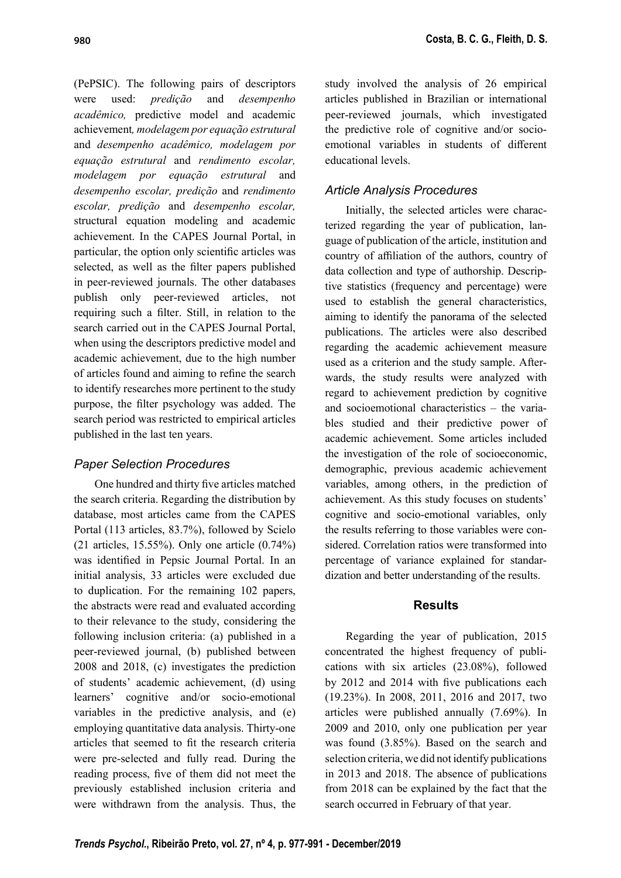(PePSIC). The following pairs of descriptors were used: predição and desempenho acadêmico, predictive model and academic achievement, modelagem por equação estrutural and desempenho acadêmico, modelagem por equação estrutural and rendimento escolar, modelagem por equação estrutural and desempenho escolar, predição and rendimento escolar, predição and desempenho escolar, structural equation modeling and academic achievement. In the CAPES Journal Portal, in particular, the option only scientific articles was selected, as well as the filter papers published in peer-reviewed journals. The other databases publish only peer-reviewed articles, not requiring such a filter. Still, in relation to the search carried out in the CAPES Journal Portal, when using the descriptors predictive model and academic achievement, due to the high number of articles found and aiming to refine the search to identify researches more pertinent to the study purpose, the filter psychology was added. The search period was restricted to empirical articles published in the last ten years.

## Paper Selection Procedures

One hundred and thirty five articles matched the search criteria. Regarding the distribution by database, most articles came from the CAPES Portal (113 articles, 83.7%), followed by Scielo (21 articles, 15.55%). Only one article (0.74%) was identified in Pepsic Journal Portal. In an initial analysis, 33 articles were excluded due to duplication. For the remaining 102 papers, the abstracts were read and evaluated according to their relevance to the study, considering the following inclusion criteria: (a) published in a peer-reviewed journal, (b) published between 2008 and 2018, (c) investigates the prediction of students' academic achievement, (d) using learners' cognitive and/or socio-emotional variables in the predictive analysis, and (e) employing quantitative data analysis. Thirty-one articles that seemed to fit the research criteria were pre-selected and fully read. During the reading process, five of them did not meet the previously established inclusion criteria and were withdrawn from the analysis. Thus, the

## Article Analysis Procedures

Initially, the selected articles were characterized regarding the year of publication, language of publication of the article, institution and country of affiliation of the authors, country of data collection and type of authorship. Descriptive statistics (frequency and percentage) were used to establish the general characteristics, aiming to identify the panorama of the selected publications. The articles were also described regarding the academic achievement measure used as a criterion and the study sample. Afterwards, the study results were analyzed with regard to achievement prediction by cognitive and socioemotional characteristics – the variables studied and their predictive power of academic achievement. Some articles included the investigation of the role of socioeconomic, demographic, previous academic achievement variables, among others, in the prediction of achievement. As this study focuses on students' cognitive and socio-emotional variables, only the results referring to those variables were considered. Correlation ratios were transformed into percentage of variance explained for standardization and better understanding of the results.

## Results

Regarding the year of publication, 2015 concentrated the highest frequency of publications with six articles (23.08%), followed by  $2012$  and  $2014$  with five publications each (19.23%). In 2008, 2011, 2016 and 2017, two articles were published annually (7.69%). In 2009 and 2010, only one publication per year was found (3.85%). Based on the search and selection criteria, we did not identify publications in 2013 and 2018. The absence of publications from 2018 can be explained by the fact that the search occurred in February of that year.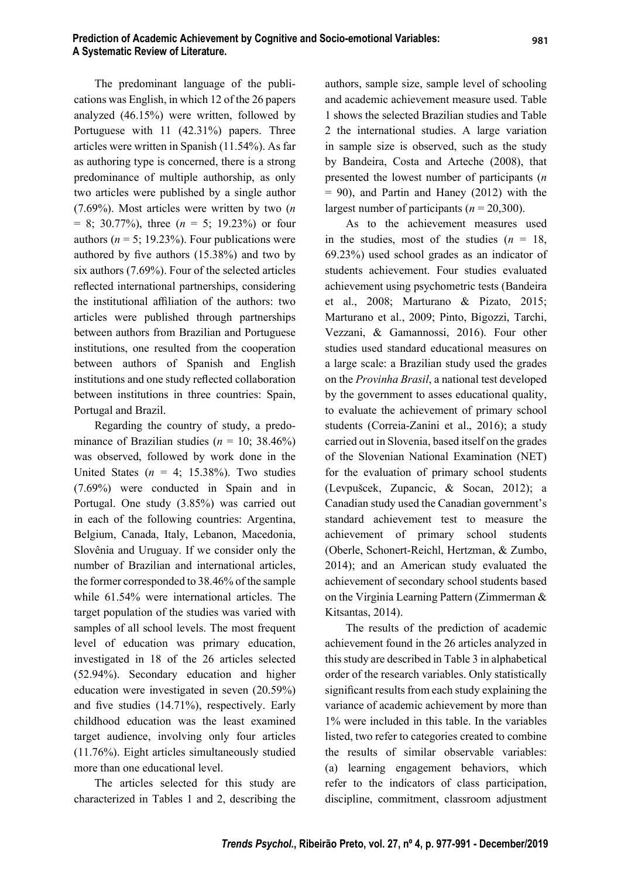981

The predominant language of the publications was English, in which 12 of the 26 papers analyzed (46.15%) were written, followed by Portuguese with 11 (42.31%) papers. Three articles were written in Spanish (11.54%). As far as authoring type is concerned, there is a strong predominance of multiple authorship, as only two articles were published by a single author (7.69%). Most articles were written by two  $(n)$  $= 8$ ; 30.77%), three ( $n = 5$ ; 19.23%) or four authors ( $n = 5$ ; 19.23%). Four publications were authored by five authors  $(15.38%)$  and two by six authors (7.69%). Four of the selected articles reflected international partnerships, considering the institutional affiliation of the authors: two articles were published through partnerships between authors from Brazilian and Portuguese institutions, one resulted from the cooperation between authors of Spanish and English institutions and one study reflected collaboration between institutions in three countries: Spain, Portugal and Brazil.

Regarding the country of study, a predominance of Brazilian studies ( $n = 10$ ; 38.46%) was observed, followed by work done in the United States ( $n = 4$ ; 15.38%). Two studies (7.69%) were conducted in Spain and in Portugal. One study (3.85%) was carried out in each of the following countries: Argentina, Belgium, Canada, Italy, Lebanon, Macedonia, Slovênia and Uruguay. If we consider only the number of Brazilian and international articles, the former corresponded to 38.46% of the sample while 61.54% were international articles. The target population of the studies was varied with samples of all school levels. The most frequent level of education was primary education, investigated in 18 of the 26 articles selected (52.94%). Secondary education and higher education were investigated in seven (20.59%) and five studies  $(14.71\%)$ , respectively. Early childhood education was the least examined target audience, involving only four articles (11.76%). Eight articles simultaneously studied more than one educational level.

The articles selected for this study are characterized in Tables 1 and 2, describing the

authors, sample size, sample level of schooling and academic achievement measure used. Table 1 shows the selected Brazilian studies and Table 2 the international studies. A large variation in sample size is observed, such as the study by Bandeira, Costa and Arteche (2008), that presented the lowest number of participants (n  $= 90$ ), and Partin and Haney (2012) with the largest number of participants ( $n = 20,300$ ).

As to the achievement measures used in the studies, most of the studies  $(n = 18,$ 69.23%) used school grades as an indicator of students achievement. Four studies evaluated achievement using psychometric tests (Bandeira et al., 2008; Marturano & Pizato, 2015; Marturano et al., 2009; Pinto, Bigozzi, Tarchi, Vezzani, & Gamannossi, 2016). Four other studies used standard educational measures on a large scale: a Brazilian study used the grades on the Provinha Brasil, a national test developed by the government to asses educational quality, to evaluate the achievement of primary school students (Correia-Zanini et al., 2016); a study carried out in Slovenia, based itself on the grades of the Slovenian National Examination (NET) for the evaluation of primary school students (Levpušcek, Zupancic, & Socan, 2012); a Canadian study used the Canadian government's standard achievement test to measure the achievement of primary school students (Oberle, Schonert-Reichl, Hertzman, & Zumbo, 2014); and an American study evaluated the achievement of secondary school students based on the Virginia Learning Pattern (Zimmerman & Kitsantas, 2014).

The results of the prediction of academic achievement found in the 26 articles analyzed in this study are described in Table 3 in alphabetical order of the research variables. Only statistically significant results from each study explaining the variance of academic achievement by more than 1% were included in this table. In the variables listed, two refer to categories created to combine the results of similar observable variables: (a) learning engagement behaviors, which refer to the indicators of class participation, discipline, commitment, classroom adjustment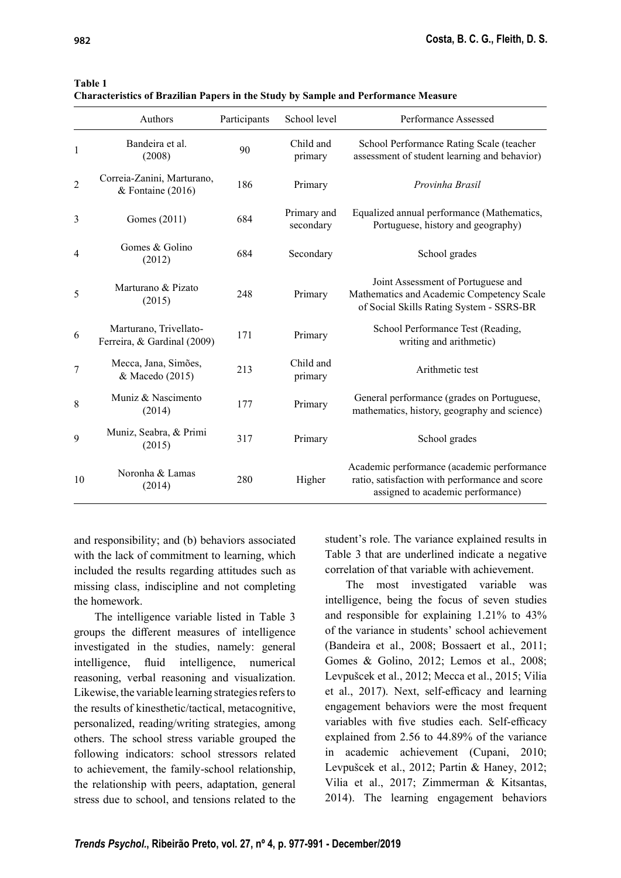| Table |  |
|-------|--|
|       |  |

|  | <b>Characteristics of Brazilian Papers in the Study by Sample and Performance Measure</b> |
|--|-------------------------------------------------------------------------------------------|
|--|-------------------------------------------------------------------------------------------|

|    | Authors                                               | Participants | School level             | Performance Assessed                                                                                                              |
|----|-------------------------------------------------------|--------------|--------------------------|-----------------------------------------------------------------------------------------------------------------------------------|
| 1  | Bandeira et al.<br>(2008)                             | 90           | Child and<br>primary     | School Performance Rating Scale (teacher<br>assessment of student learning and behavior)                                          |
| 2  | Correia-Zanini, Marturano,<br>& Fontaine (2016)       | 186          | Primary                  | Provinha Brasil                                                                                                                   |
| 3  | Gomes (2011)                                          | 684          | Primary and<br>secondary | Equalized annual performance (Mathematics,<br>Portuguese, history and geography)                                                  |
| 4  | Gomes & Golino<br>(2012)                              | 684          | Secondary                | School grades                                                                                                                     |
| 5  | Marturano & Pizato<br>(2015)                          | 248          | Primary                  | Joint Assessment of Portuguese and<br>Mathematics and Academic Competency Scale<br>of Social Skills Rating System - SSRS-BR       |
| 6  | Marturano, Trivellato-<br>Ferreira, & Gardinal (2009) | 171          | Primary                  | School Performance Test (Reading,<br>writing and arithmetic)                                                                      |
| 7  | Mecca, Jana, Simões,<br>& Macedo (2015)               | 213          | Child and<br>primary     | Arithmetic test                                                                                                                   |
| 8  | Muniz & Nascimento<br>(2014)                          | 177          | Primary                  | General performance (grades on Portuguese,<br>mathematics, history, geography and science)                                        |
| 9  | Muniz, Seabra, & Primi<br>(2015)                      | 317          | Primary                  | School grades                                                                                                                     |
| 10 | Noronha & Lamas<br>(2014)                             | 280          | Higher                   | Academic performance (academic performance<br>ratio, satisfaction with performance and score<br>assigned to academic performance) |

and responsibility; and (b) behaviors associated with the lack of commitment to learning, which included the results regarding attitudes such as missing class, indiscipline and not completing the homework.

The intelligence variable listed in Table 3 groups the different measures of intelligence investigated in the studies, namely: general intelligence, fluid intelligence, numerical reasoning, verbal reasoning and visualization. Likewise, the variable learning strategies refers to the results of kinesthetic/tactical, metacognitive, personalized, reading/writing strategies, among others. The school stress variable grouped the following indicators: school stressors related to achievement, the family-school relationship, the relationship with peers, adaptation, general stress due to school, and tensions related to the

student's role. The variance explained results in Table 3 that are underlined indicate a negative correlation of that variable with achievement.

The most investigated variable was intelligence, being the focus of seven studies and responsible for explaining 1.21% to 43% of the variance in students' school achievement (Bandeira et al., 2008; Bossaert et al., 2011; Gomes & Golino, 2012; Lemos et al., 2008; Levpušcek et al., 2012; Mecca et al., 2015; Vilia et al., 2017). Next, self-efficacy and learning engagement behaviors were the most frequent variables with five studies each. Self-efficacy explained from 2.56 to 44.89% of the variance in academic achievement (Cupani, 2010; Levpušcek et al., 2012; Partin & Haney, 2012; Vilia et al., 2017; Zimmerman & Kitsantas, 2014). The learning engagement behaviors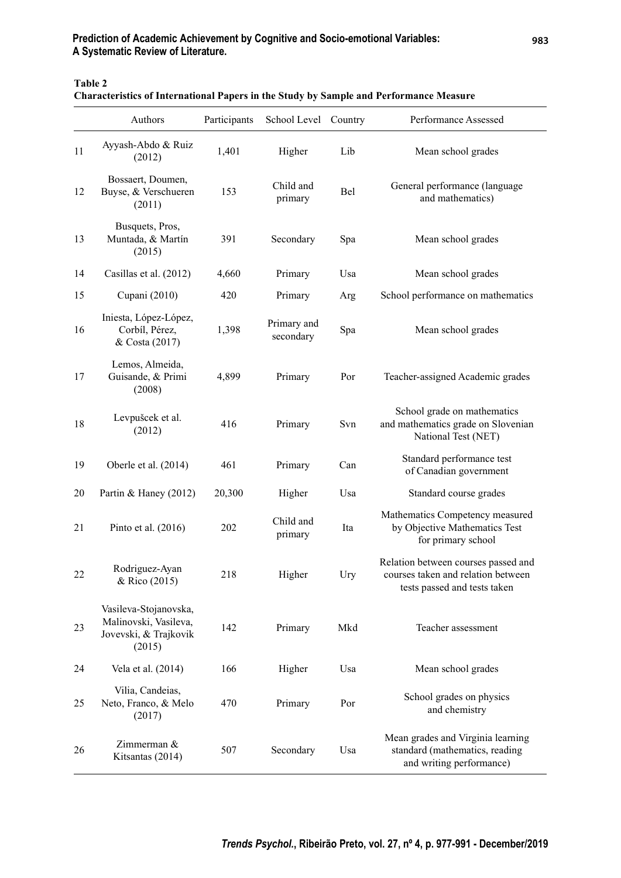## Prediction of Academic Achievement by Cognitive and Socio-emotional Variables: A Systematic Review of Literature.

Table 2

| <b>Characteristics of International Papers in the Study by Sample and Performance Measure</b> |  |  |
|-----------------------------------------------------------------------------------------------|--|--|
|                                                                                               |  |  |

|    | Authors                                                                           | Participants | School Level Country     |     | Performance Assessed                                                                                      |
|----|-----------------------------------------------------------------------------------|--------------|--------------------------|-----|-----------------------------------------------------------------------------------------------------------|
| 11 | Ayyash-Abdo & Ruiz<br>(2012)                                                      | 1,401        | Higher                   | Lib | Mean school grades                                                                                        |
| 12 | Bossaert, Doumen,<br>Buyse, & Verschueren<br>(2011)                               | 153          | Child and<br>primary     | Bel | General performance (language<br>and mathematics)                                                         |
| 13 | Busquets, Pros,<br>Muntada, & Martín<br>(2015)                                    | 391          | Secondary                | Spa | Mean school grades                                                                                        |
| 14 | Casillas et al. (2012)                                                            | 4,660        | Primary                  | Usa | Mean school grades                                                                                        |
| 15 | Cupani (2010)                                                                     | 420          | Primary                  | Arg | School performance on mathematics                                                                         |
| 16 | Iniesta, López-López,<br>Corbíl, Pérez,<br>& Costa (2017)                         | 1,398        | Primary and<br>secondary | Spa | Mean school grades                                                                                        |
| 17 | Lemos, Almeida,<br>Guisande, & Primi<br>(2008)                                    | 4,899        | Primary                  | Por | Teacher-assigned Academic grades                                                                          |
| 18 | Levpušcek et al.<br>(2012)                                                        | 416          | Primary                  | Svn | School grade on mathematics<br>and mathematics grade on Slovenian<br>National Test (NET)                  |
| 19 | Oberle et al. (2014)                                                              | 461          | Primary                  | Can | Standard performance test<br>of Canadian government                                                       |
| 20 | Partin & Haney (2012)                                                             | 20,300       | Higher                   | Usa | Standard course grades                                                                                    |
| 21 | Pinto et al. $(2016)$                                                             | 202          | Child and<br>primary     | Ita | Mathematics Competency measured<br>by Objective Mathematics Test<br>for primary school                    |
| 22 | Rodriguez-Ayan<br>& Rico (2015)                                                   | 218          | Higher                   | Ury | Relation between courses passed and<br>courses taken and relation between<br>tests passed and tests taken |
| 23 | Vasileva-Stojanovska,<br>Malinovski, Vasileva,<br>Jovevski, & Trajkovik<br>(2015) | 142          | Primary                  | Mkd | Teacher assessment                                                                                        |
| 24 | Vela et al. (2014)                                                                | 166          | Higher                   | Usa | Mean school grades                                                                                        |
| 25 | Vilia, Candeias,<br>Neto, Franco, & Melo<br>(2017)                                | 470          | Primary                  | Por | School grades on physics<br>and chemistry                                                                 |
| 26 | Zimmerman &<br>Kitsantas (2014)                                                   | 507          | Secondary                | Usa | Mean grades and Virginia learning<br>standard (mathematics, reading<br>and writing performance)           |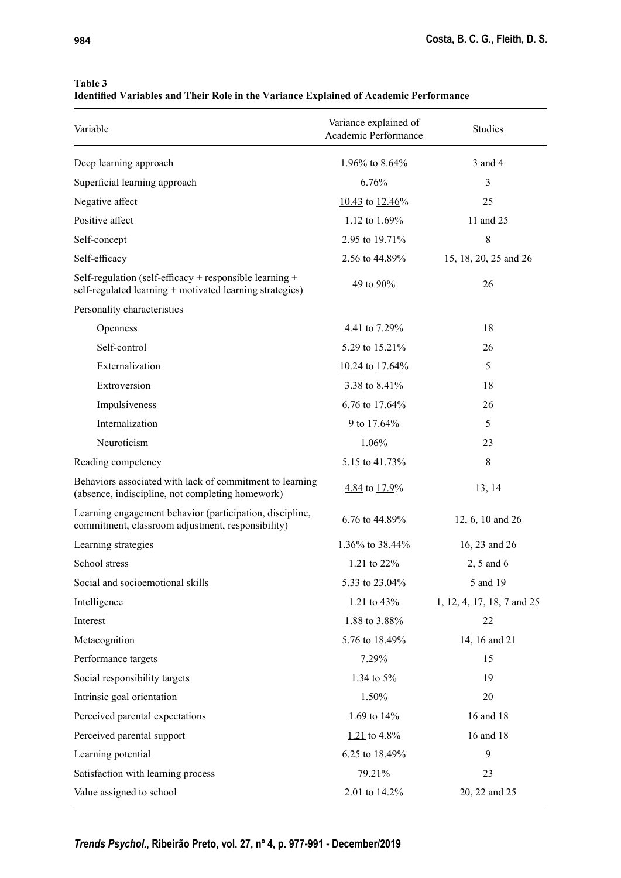#### Table 3

Identified Variables and Their Role in the Variance Explained of Academic Performance

| Variable                                                                                                            | Variance explained of<br>Academic Performance | <b>Studies</b>             |
|---------------------------------------------------------------------------------------------------------------------|-----------------------------------------------|----------------------------|
| Deep learning approach                                                                                              | 1.96% to 8.64%                                | 3 and 4                    |
| Superficial learning approach                                                                                       | 6.76%                                         | 3                          |
| Negative affect                                                                                                     | $10.43$ to $12.46\%$                          | 25                         |
| Positive affect                                                                                                     | 1.12 to 1.69%                                 | 11 and 25                  |
| Self-concept                                                                                                        | 2.95 to 19.71%                                | 8                          |
| Self-efficacy                                                                                                       | 2.56 to 44.89%                                | 15, 18, 20, 25 and 26      |
| Self-regulation (self-efficacy + responsible learning +<br>self-regulated learning + motivated learning strategies) | 49 to 90%                                     | 26                         |
| Personality characteristics                                                                                         |                                               |                            |
| Openness                                                                                                            | 4.41 to 7.29%                                 | 18                         |
| Self-control                                                                                                        | 5.29 to 15.21%                                | 26                         |
| Externalization                                                                                                     | $10.24$ to $17.64\%$                          | 5                          |
| Extroversion                                                                                                        | $3.38$ to $8.41\%$                            | 18                         |
| Impulsiveness                                                                                                       | 6.76 to 17.64%                                | 26                         |
| Internalization                                                                                                     | 9 to 17.64%                                   | 5                          |
| Neuroticism                                                                                                         | 1.06%                                         | 23                         |
| Reading competency                                                                                                  | 5.15 to 41.73%                                | 8                          |
| Behaviors associated with lack of commitment to learning<br>(absence, indiscipline, not completing homework)        | $4.84$ to $17.9\%$                            | 13, 14                     |
| Learning engagement behavior (participation, discipline,<br>commitment, classroom adjustment, responsibility)       | 6.76 to 44.89%                                | 12, 6, 10 and 26           |
| Learning strategies                                                                                                 | 1.36% to 38.44%                               | 16, 23 and 26              |
| School stress                                                                                                       | 1.21 to $22\%$                                | $2, 5$ and 6               |
| Social and socioemotional skills                                                                                    | 5.33 to 23.04%                                | 5 and 19                   |
| Intelligence                                                                                                        | 1.21 to 43%                                   | 1, 12, 4, 17, 18, 7 and 25 |
| Interest                                                                                                            | 1.88 to 3.88%                                 | 22                         |
| Metacognition                                                                                                       | 5.76 to 18.49%                                | 14, 16 and 21              |
| Performance targets                                                                                                 | 7.29%                                         | 15                         |
| Social responsibility targets                                                                                       | 1.34 to 5%                                    | 19                         |
| Intrinsic goal orientation                                                                                          | 1.50%                                         | 20                         |
| Perceived parental expectations                                                                                     | $1.69$ to 14%                                 | 16 and 18                  |
| Perceived parental support                                                                                          | $1.21$ to 4.8%                                | 16 and 18                  |
| Learning potential                                                                                                  | 6.25 to 18.49%                                | 9                          |
| Satisfaction with learning process                                                                                  | 79.21%                                        | 23                         |
| Value assigned to school                                                                                            | 2.01 to 14.2%                                 | 20, 22 and 25              |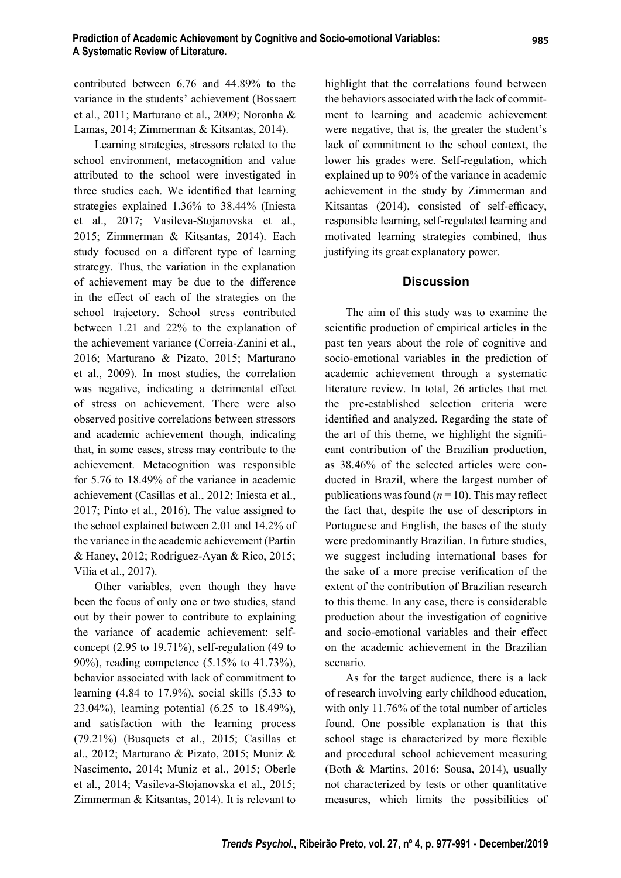contributed between 6.76 and 44.89% to the variance in the students' achievement (Bossaert et al., 2011; Marturano et al., 2009; Noronha & Lamas, 2014; Zimmerman & Kitsantas, 2014).

Learning strategies, stressors related to the school environment, metacognition and value attributed to the school were investigated in three studies each. We identified that learning strategies explained 1.36% to 38.44% (Iniesta et al., 2017; Vasileva-Stojanovska et al., 2015; Zimmerman & Kitsantas, 2014). Each study focused on a different type of learning strategy. Thus, the variation in the explanation of achievement may be due to the difference in the effect of each of the strategies on the school trajectory. School stress contributed between 1.21 and 22% to the explanation of the achievement variance (Correia-Zanini et al., 2016; Marturano & Pizato, 2015; Marturano et al., 2009). In most studies, the correlation was negative, indicating a detrimental effect of stress on achievement. There were also observed positive correlations between stressors and academic achievement though, indicating that, in some cases, stress may contribute to the achievement. Metacognition was responsible for 5.76 to 18.49% of the variance in academic achievement (Casillas et al., 2012; Iniesta et al., 2017; Pinto et al., 2016). The value assigned to the school explained between 2.01 and 14.2% of the variance in the academic achievement (Partin & Haney, 2012; Rodriguez-Ayan & Rico, 2015; Vilia et al., 2017).

Other variables, even though they have been the focus of only one or two studies, stand out by their power to contribute to explaining the variance of academic achievement: selfconcept (2.95 to 19.71%), self-regulation (49 to 90%), reading competence (5.15% to 41.73%), behavior associated with lack of commitment to learning (4.84 to 17.9%), social skills (5.33 to 23.04%), learning potential (6.25 to 18.49%), and satisfaction with the learning process (79.21%) (Busquets et al., 2015; Casillas et al., 2012; Marturano & Pizato, 2015; Muniz & Nascimento, 2014; Muniz et al., 2015; Oberle et al., 2014; Vasileva-Stojanovska et al., 2015; Zimmerman & Kitsantas, 2014). It is relevant to highlight that the correlations found between the behaviors associated with the lack of commitment to learning and academic achievement were negative, that is, the greater the student's lack of commitment to the school context, the lower his grades were. Self-regulation, which explained up to 90% of the variance in academic achievement in the study by Zimmerman and Kitsantas (2014), consisted of self-efficacy, responsible learning, self-regulated learning and motivated learning strategies combined, thus justifying its great explanatory power.

#### **Discussion**

The aim of this study was to examine the scientific production of empirical articles in the past ten years about the role of cognitive and socio-emotional variables in the prediction of academic achievement through a systematic literature review. In total, 26 articles that met the pre-established selection criteria were identified and analyzed. Regarding the state of the art of this theme, we highlight the significant contribution of the Brazilian production, as 38.46% of the selected articles were conducted in Brazil, where the largest number of publications was found  $(n = 10)$ . This may reflect the fact that, despite the use of descriptors in Portuguese and English, the bases of the study were predominantly Brazilian. In future studies, we suggest including international bases for the sake of a more precise verification of the extent of the contribution of Brazilian research to this theme. In any case, there is considerable production about the investigation of cognitive and socio-emotional variables and their effect on the academic achievement in the Brazilian scenario.

As for the target audience, there is a lack of research involving early childhood education, with only 11.76% of the total number of articles found. One possible explanation is that this school stage is characterized by more flexible and procedural school achievement measuring (Both & Martins, 2016; Sousa, 2014), usually not characterized by tests or other quantitative measures, which limits the possibilities of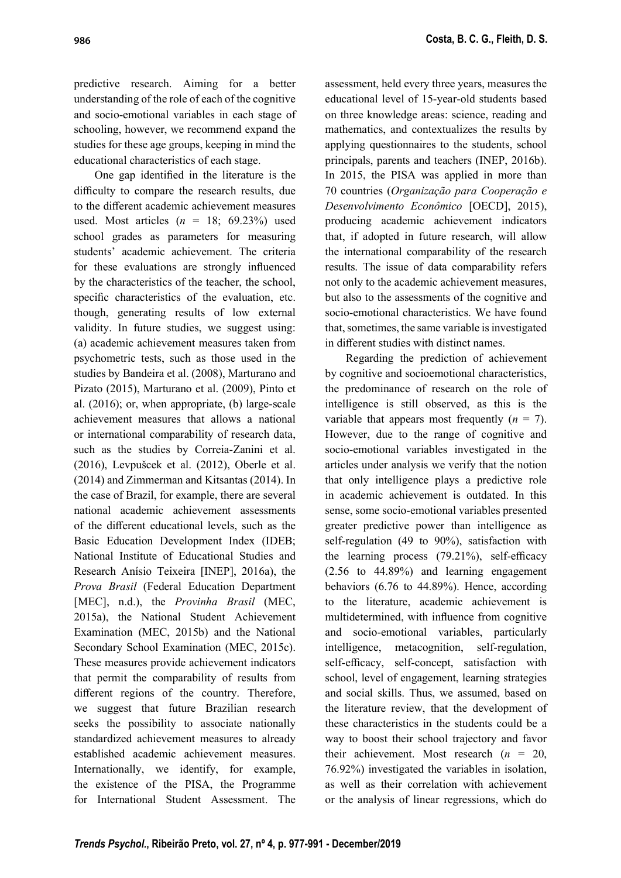predictive research. Aiming for a better understanding of the role of each of the cognitive and socio-emotional variables in each stage of schooling, however, we recommend expand the studies for these age groups, keeping in mind the educational characteristics of each stage.

One gap identified in the literature is the difficulty to compare the research results, due to the different academic achievement measures used. Most articles  $(n = 18; 69.23%)$  used school grades as parameters for measuring students' academic achievement. The criteria for these evaluations are strongly influenced by the characteristics of the teacher, the school, specific characteristics of the evaluation, etc. though, generating results of low external validity. In future studies, we suggest using: (a) academic achievement measures taken from psychometric tests, such as those used in the studies by Bandeira et al. (2008), Marturano and Pizato (2015), Marturano et al. (2009), Pinto et al. (2016); or, when appropriate, (b) large-scale achievement measures that allows a national or international comparability of research data, such as the studies by Correia-Zanini et al. (2016), Levpušcek et al. (2012), Oberle et al. (2014) and Zimmerman and Kitsantas (2014). In the case of Brazil, for example, there are several national academic achievement assessments of the different educational levels, such as the Basic Education Development Index (IDEB; National Institute of Educational Studies and Research Anísio Teixeira [INEP], 2016a), the Prova Brasil (Federal Education Department [MEC], n.d.), the *Provinha Brasil* (MEC, 2015a), the National Student Achievement Examination (MEC, 2015b) and the National Secondary School Examination (MEC, 2015c). These measures provide achievement indicators that permit the comparability of results from different regions of the country. Therefore, we suggest that future Brazilian research seeks the possibility to associate nationally standardized achievement measures to already established academic achievement measures. Internationally, we identify, for example, the existence of the PISA, the Programme for International Student Assessment. The

assessment, held every three years, measures the educational level of 15-year-old students based on three knowledge areas: science, reading and mathematics, and contextualizes the results by applying questionnaires to the students, school principals, parents and teachers (INEP, 2016b). In 2015, the PISA was applied in more than 70 countries (Organização para Cooperação e Desenvolvimento Econômico [OECD], 2015), producing academic achievement indicators that, if adopted in future research, will allow the international comparability of the research results. The issue of data comparability refers not only to the academic achievement measures, but also to the assessments of the cognitive and socio-emotional characteristics. We have found that, sometimes, the same variable is investigated in different studies with distinct names.

Regarding the prediction of achievement by cognitive and socioemotional characteristics, the predominance of research on the role of intelligence is still observed, as this is the variable that appears most frequently  $(n = 7)$ . However, due to the range of cognitive and socio-emotional variables investigated in the articles under analysis we verify that the notion that only intelligence plays a predictive role in academic achievement is outdated. In this sense, some socio-emotional variables presented greater predictive power than intelligence as self-regulation (49 to 90%), satisfaction with the learning process  $(79.21\%)$ , self-efficacy (2.56 to 44.89%) and learning engagement behaviors (6.76 to 44.89%). Hence, according to the literature, academic achievement is multidetermined, with influence from cognitive and socio-emotional variables, particularly intelligence, metacognition, self-regulation, self-efficacy, self-concept, satisfaction with school, level of engagement, learning strategies and social skills. Thus, we assumed, based on the literature review, that the development of these characteristics in the students could be a way to boost their school trajectory and favor their achievement. Most research  $(n = 20,$ 76.92%) investigated the variables in isolation, as well as their correlation with achievement or the analysis of linear regressions, which do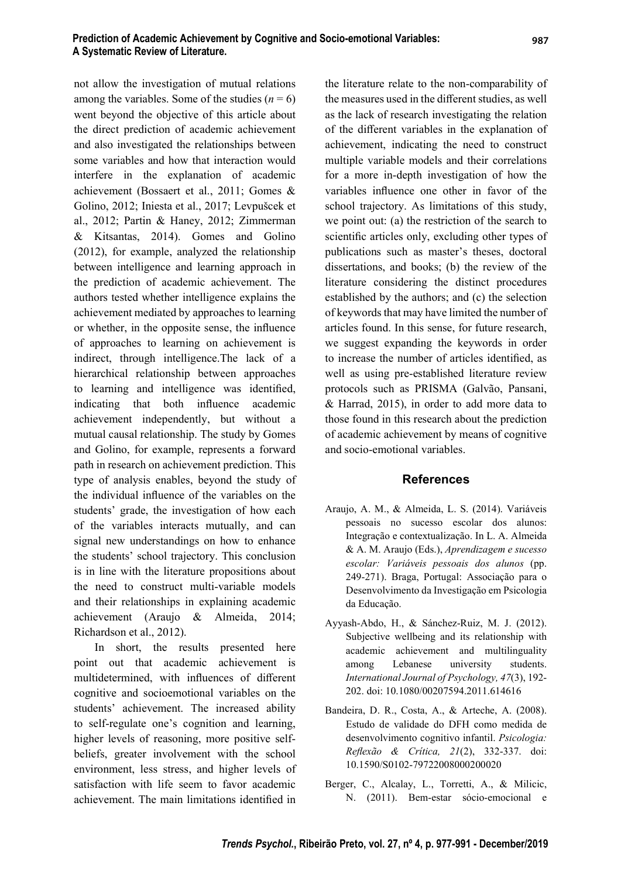not allow the investigation of mutual relations among the variables. Some of the studies ( $n = 6$ ) went beyond the objective of this article about the direct prediction of academic achievement and also investigated the relationships between some variables and how that interaction would interfere in the explanation of academic achievement (Bossaert et al., 2011; Gomes & Golino, 2012; Iniesta et al., 2017; Levpušcek et al., 2012; Partin & Haney, 2012; Zimmerman & Kitsantas, 2014). Gomes and Golino (2012), for example, analyzed the relationship between intelligence and learning approach in the prediction of academic achievement. The authors tested whether intelligence explains the achievement mediated by approaches to learning or whether, in the opposite sense, the influence of approaches to learning on achievement is indirect, through intelligence.The lack of a hierarchical relationship between approaches to learning and intelligence was identified, indicating that both influence academic achievement independently, but without a mutual causal relationship. The study by Gomes and Golino, for example, represents a forward path in research on achievement prediction. This type of analysis enables, beyond the study of the individual influence of the variables on the students' grade, the investigation of how each of the variables interacts mutually, and can signal new understandings on how to enhance the students' school trajectory. This conclusion is in line with the literature propositions about the need to construct multi-variable models and their relationships in explaining academic achievement (Araujo & Almeida, 2014; Richardson et al., 2012).

In short, the results presented here point out that academic achievement is multidetermined, with influences of different cognitive and socioemotional variables on the students' achievement. The increased ability to self-regulate one's cognition and learning, higher levels of reasoning, more positive selfbeliefs, greater involvement with the school environment, less stress, and higher levels of satisfaction with life seem to favor academic achievement. The main limitations identified in

the literature relate to the non-comparability of the measures used in the different studies, as well as the lack of research investigating the relation of the different variables in the explanation of achievement, indicating the need to construct multiple variable models and their correlations for a more in-depth investigation of how the variables influence one other in favor of the school trajectory. As limitations of this study, we point out: (a) the restriction of the search to scientific articles only, excluding other types of publications such as master's theses, doctoral dissertations, and books; (b) the review of the literature considering the distinct procedures established by the authors; and (c) the selection of keywords that may have limited the number of articles found. In this sense, for future research, we suggest expanding the keywords in order to increase the number of articles identified, as well as using pre-established literature review protocols such as PRISMA (Galvão, Pansani, & Harrad, 2015), in order to add more data to those found in this research about the prediction of academic achievement by means of cognitive and socio-emotional variables.

#### References

- Araujo, A. M., & Almeida, L. S. (2014). Variáveis pessoais no sucesso escolar dos alunos: Integração e contextualização. In L. A. Almeida & A. M. Araujo (Eds.), Aprendizagem e sucesso escolar: Variáveis pessoais dos alunos (pp. 249-271). Braga, Portugal: Associação para o Desenvolvimento da Investigação em Psicologia da Educação.
- Ayyash-Abdo, H., & Sánchez-Ruiz, M. J. (2012). Subjective wellbeing and its relationship with academic achievement and multilinguality among Lebanese university students. International Journal of Psychology, 47(3), 192- 202. doi: 10.1080/00207594.2011.614616
- Bandeira, D. R., Costa, A., & Arteche, A. (2008). Estudo de validade do DFH como medida de desenvolvimento cognitivo infantil. Psicologia: Reflexão & Crítica, 21(2), 332-337. doi: 10.1590/S0102-79722008000200020
- Berger, C., Alcalay, L., Torretti, A., & Milicic, N. (2011). Bem-estar sócio-emocional e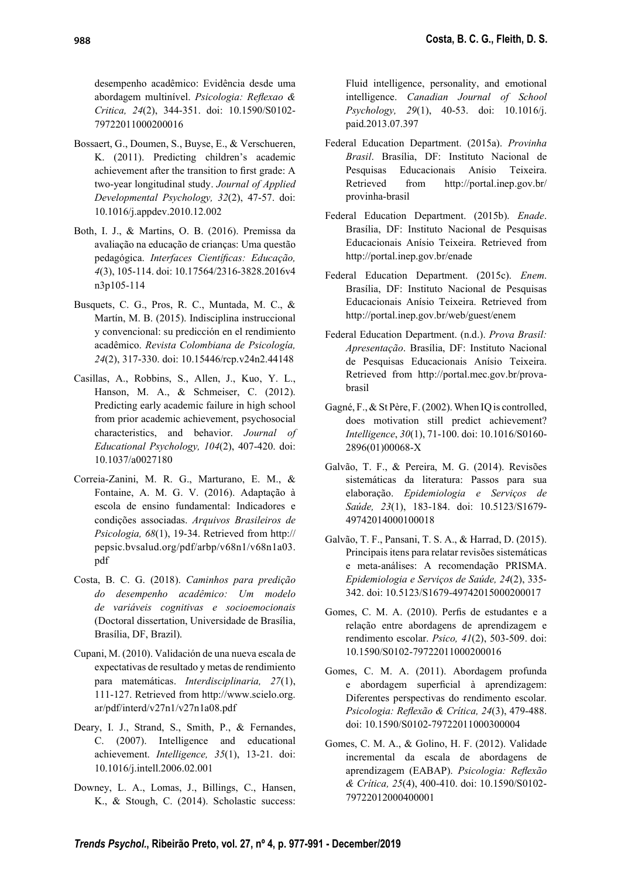desempenho acadêmico: Evidência desde uma abordagem multinível. Psicologia: Reflexao & Critica, 24(2), 344-351. doi: 10.1590/S0102- 79722011000200016

- Bossaert, G., Doumen, S., Buyse, E., & Verschueren, K. (2011). Predicting children's academic achievement after the transition to first grade: A two-year longitudinal study. Journal of Applied Developmental Psychology, 32(2), 47-57. doi: 10.1016/j.appdev.2010.12.002
- Both, I. J., & Martins, O. B. (2016). Premissa da avaliação na educação de crianças: Uma questão pedagógica. Interfaces Científicas: Educação, 4(3), 105-114. doi: 10.17564/2316-3828.2016v4 n3p105-114
- Busquets, C. G., Pros, R. C., Muntada, M. C., & Martín, M. B. (2015). Indisciplina instruccional y convencional: su predicción en el rendimiento acadêmico. Revista Colombiana de Psicología, 24(2), 317-330. doi: 10.15446/rcp.v24n2.44148
- Casillas, A., Robbins, S., Allen, J., Kuo, Y. L., Hanson, M. A., & Schmeiser, C. (2012). Predicting early academic failure in high school from prior academic achievement, psychosocial characteristics, and behavior. Journal of Educational Psychology, 104(2), 407-420. doi: 10.1037/a0027180
- Correia-Zanini, M. R. G., Marturano, E. M., & Fontaine, A. M. G. V. (2016). Adaptação à escola de ensino fundamental: Indicadores e condições associadas. Arquivos Brasileiros de Psicologia, 68(1), 19-34. Retrieved from http:// pepsic.bvsalud.org/pdf/arbp/v68n1/v68n1a03. pdf
- Costa, B. C. G. (2018). Caminhos para predição do desempenho acadêmico: Um modelo de variáveis cognitivas e socioemocionais (Doctoral dissertation, Universidade de Brasília, Brasília, DF, Brazil).
- Cupani, M. (2010). Validación de una nueva escala de expectativas de resultado y metas de rendimiento para matemáticas. Interdisciplinaria, 27(1), 111-127. Retrieved from http://www.scielo.org. ar/pdf/interd/v27n1/v27n1a08.pdf
- Deary, I. J., Strand, S., Smith, P., & Fernandes, C. (2007). Intelligence and educational achievement. Intelligence, 35(1), 13-21. doi: 10.1016/j.intell.2006.02.001
- Downey, L. A., Lomas, J., Billings, C., Hansen, K., & Stough, C. (2014). Scholastic success:

Fluid intelligence, personality, and emotional intelligence. Canadian Journal of School Psychology, 29(1), 40-53. doi: 10.1016/j. paid.2013.07.397

- Federal Education Department. (2015a). Provinha Brasil. Brasília, DF: Instituto Nacional de Pesquisas Educacionais Anísio Teixeira. Retrieved from http://portal.inep.gov.br/ provinha-brasil
- Federal Education Department. (2015b). Enade. Brasília, DF: Instituto Nacional de Pesquisas Educacionais Anísio Teixeira. Retrieved from http://portal.inep.gov.br/enade
- Federal Education Department. (2015c). Enem. Brasília, DF: Instituto Nacional de Pesquisas Educacionais Anísio Teixeira. Retrieved from http://portal.inep.gov.br/web/guest/enem
- Federal Education Department. (n.d.). Prova Brasil: Apresentação. Brasília, DF: Instituto Nacional de Pesquisas Educacionais Anísio Teixeira. Retrieved from http://portal.mec.gov.br/provabrasil
- Gagné, F., & St Père, F. (2002). When IQ is controlled, does motivation still predict achievement? Intelligence, 30(1), 71-100. doi: 10.1016/S0160- 2896(01)00068-X
- Galvão, T. F., & Pereira, M. G. (2014). Revisões sistemáticas da literatura: Passos para sua elaboração. Epidemiologia e Serviços de Saúde, 23(1), 183-184. doi: 10.5123/S1679- 49742014000100018
- Galvão, T. F., Pansani, T. S. A., & Harrad, D. (2015). Principais itens para relatar revisões sistemáticas e meta-análises: A recomendação PRISMA. Epidemiologia e Serviços de Saúde, 24(2), 335- 342. doi: 10.5123/S1679-49742015000200017
- Gomes, C. M. A. (2010). Perfis de estudantes e a relação entre abordagens de aprendizagem e rendimento escolar. Psico, 41(2), 503-509. doi: 10.1590/S0102-79722011000200016
- Gomes, C. M. A. (2011). Abordagem profunda e abordagem superficial à aprendizagem: Diferentes perspectivas do rendimento escolar. Psicologia: Reflexão & Crítica, 24(3), 479-488. doi: 10.1590/S0102-79722011000300004
- Gomes, C. M. A., & Golino, H. F. (2012). Validade incremental da escala de abordagens de aprendizagem (EABAP). Psicologia: Reflexão & Crítica, 25(4), 400-410. doi: 10.1590/S0102- 79722012000400001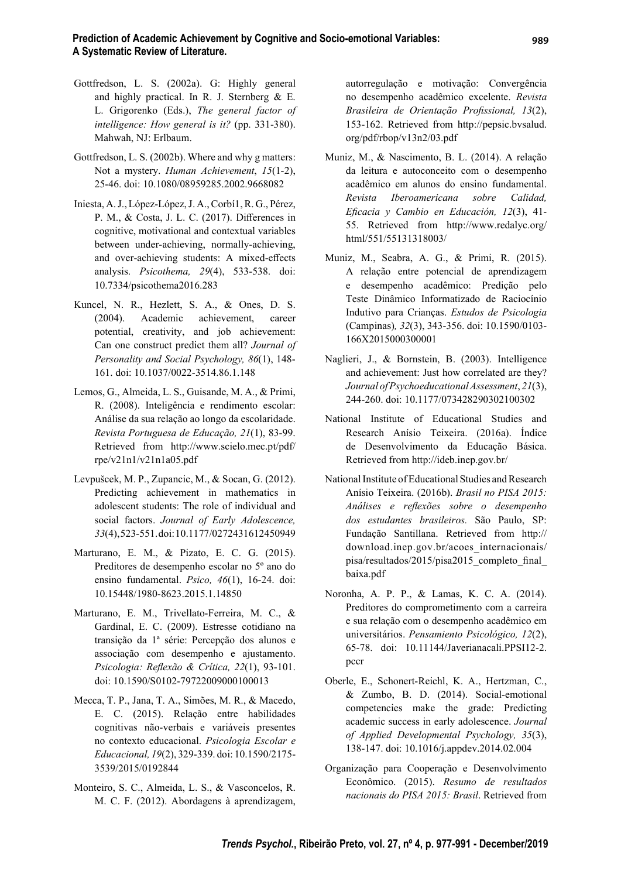- Gottfredson, L. S. (2002a). G: Highly general and highly practical. In R. J. Sternberg & E. L. Grigorenko (Eds.), The general factor of intelligence: How general is it? (pp. 331-380). Mahwah, NJ: Erlbaum.
- Gottfredson, L. S. (2002b). Where and why g matters: Not a mystery. Human Achievement, 15(1-2), 25-46. doi: 10.1080/08959285.2002.9668082
- Iniesta, A. J., López-López, J. A., Corbí1, R. G., Pérez, P. M., & Costa, J. L. C. (2017). Differences in cognitive, motivational and contextual variables between under-achieving, normally-achieving, and over-achieving students: A mixed-effects analysis. Psicothema, 29(4), 533-538. doi: 10.7334/psicothema2016.283
- Kuncel, N. R., Hezlett, S. A., & Ones, D. S. (2004). Academic achievement, career potential, creativity, and job achievement: Can one construct predict them all? Journal of Personality and Social Psychology, 86(1), 148- 161. doi: 10.1037/0022-3514.86.1.148
- Lemos, G., Almeida, L. S., Guisande, M. A., & Primi, R. (2008). Inteligência e rendimento escolar: Análise da sua relação ao longo da escolaridade. Revista Portuguesa de Educação, 21(1), 83-99. Retrieved from http://www.scielo.mec.pt/pdf/ rpe/v21n1/v21n1a05.pdf
- Levpušcek, M. P., Zupancic, M., & Socan, G. (2012). Predicting achievement in mathematics in adolescent students: The role of individual and social factors. Journal of Early Adolescence, 33(4), 523-551. doi: 10.1177/0272431612450949
- Marturano, E. M., & Pizato, E. C. G. (2015). Preditores de desempenho escolar no 5º ano do ensino fundamental. Psico, 46(1), 16-24. doi: 10.15448/1980-8623.2015.1.14850
- Marturano, E. M., Trivellato-Ferreira, M. C., & Gardinal, E. C. (2009). Estresse cotidiano na transição da 1ª série: Percepção dos alunos e associação com desempenho e ajustamento. Psicologia: Reflexão & Crítica, 22(1), 93-101. doi: 10.1590/S0102-79722009000100013
- Mecca, T. P., Jana, T. A., Simões, M. R., & Macedo, E. C. (2015). Relação entre habilidades cognitivas não-verbais e variáveis presentes no contexto educacional. Psicologia Escolar e Educacional, 19(2), 329-339. doi: 10.1590/2175- 3539/2015/0192844
- Monteiro, S. C., Almeida, L. S., & Vasconcelos, R. M. C. F. (2012). Abordagens à aprendizagem,

autorregulação e motivação: Convergência no desempenho acadêmico excelente. Revista Brasileira de Orientação Profissional, 13(2), 153-162. Retrieved from http://pepsic.bvsalud. org/pdf/rbop/v13n2/03.pdf

- Muniz, M., & Nascimento, B. L. (2014). A relação da leitura e autoconceito com o desempenho acadêmico em alunos do ensino fundamental. Revista Iberoamericana sobre Calidad, Eficacia y Cambio en Educación, 12(3), 41-55. Retrieved from http://www.redalyc.org/ html/551/55131318003/
- Muniz, M., Seabra, A. G., & Primi, R. (2015). A relação entre potencial de aprendizagem e desempenho acadêmico: Predição pelo Teste Dinâmico Informatizado de Raciocínio Indutivo para Crianças. Estudos de Psicologia (Campinas), 32(3), 343-356. doi: 10.1590/0103- 166X2015000300001
- Naglieri, J., & Bornstein, B. (2003). Intelligence and achievement: Just how correlated are they? Journal of Psychoeducational Assessment, 21(3), 244-260. doi: 10.1177/073428290302100302
- National Institute of Educational Studies and Research Anísio Teixeira. (2016a). Índice de Desenvolvimento da Educação Básica. Retrieved from http://ideb.inep.gov.br/
- National Institute of Educational Studies and Research Anísio Teixeira. (2016b). Brasil no PISA 2015: Análises e reflexões sobre o desempenho dos estudantes brasileiros. São Paulo, SP: Fundação Santillana. Retrieved from http:// download.inep.gov.br/acoes\_internacionais/ pisa/resultados/2015/pisa2015 completo final baixa.pdf
- Noronha, A. P. P., & Lamas, K. C. A. (2014). Preditores do comprometimento com a carreira e sua relação com o desempenho acadêmico em universitários. Pensamiento Psicológico, 12(2), 65-78. doi: 10.11144/Javerianacali.PPSI12-2. pccr
- Oberle, E., Schonert-Reichl, K. A., Hertzman, C., & Zumbo, B. D. (2014). Social-emotional competencies make the grade: Predicting academic success in early adolescence. Journal of Applied Developmental Psychology, 35(3), 138-147. doi: 10.1016/j.appdev.2014.02.004
- Organização para Cooperação e Desenvolvimento Econômico. (2015). Resumo de resultados nacionais do PISA 2015: Brasil. Retrieved from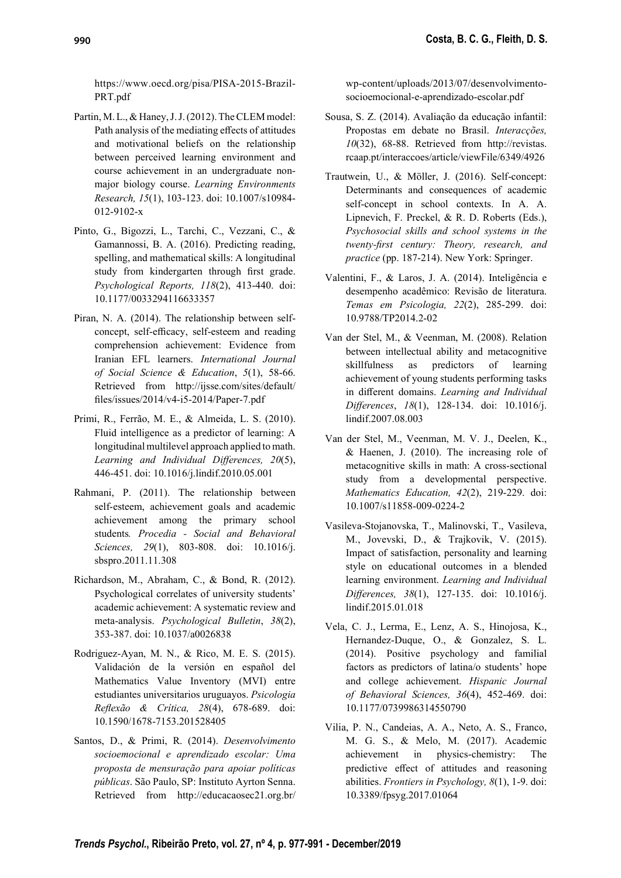https://www.oecd.org/pisa/PISA-2015-Brazil-PRT.pdf

- Partin, M. L., & Haney, J. J. (2012). The CLEM model: Path analysis of the mediating effects of attitudes and motivational beliefs on the relationship between perceived learning environment and course achievement in an undergraduate nonmajor biology course. Learning Environments Research, 15(1), 103-123. doi: 10.1007/s10984- 012-9102-x
- Pinto, G., Bigozzi, L., Tarchi, C., Vezzani, C., & Gamannossi, B. A. (2016). Predicting reading, spelling, and mathematical skills: A longitudinal study from kindergarten through first grade. Psychological Reports, 118(2), 413-440. doi: 10.1177/0033294116633357
- Piran, N. A. (2014). The relationship between selfconcept, self-efficacy, self-esteem and reading comprehension achievement: Evidence from Iranian EFL learners. International Journal of Social Science & Education, 5(1), 58-66. Retrieved from http://ijsse.com/sites/default/ fi les/issues/2014/v4-i5-2014/Paper-7.pdf
- Primi, R., Ferrão, M. E., & Almeida, L. S. (2010). Fluid intelligence as a predictor of learning: A longitudinal multilevel approach applied to math. Learning and Individual Differences,  $20(5)$ , 446-451. doi: 10.1016/j.lindif.2010.05.001
- Rahmani, P. (2011). The relationship between self-esteem, achievement goals and academic achievement among the primary school students. Procedia - Social and Behavioral Sciences, 29(1), 803-808. doi: 10.1016/j. sbspro.2011.11.308
- Richardson, M., Abraham, C., & Bond, R. (2012). Psychological correlates of university students' academic achievement: A systematic review and meta-analysis. Psychological Bulletin, 38(2), 353-387. doi: 10.1037/a0026838
- Rodriguez-Ayan, M. N., & Rico, M. E. S. (2015). Validación de la versión en español del Mathematics Value Inventory (MVI) entre estudiantes universitarios uruguayos. Psicologia Reflexão & Crítica, 28(4), 678-689. doi: 10.1590/1678-7153.201528405
- Santos, D., & Primi, R. (2014). Desenvolvimento socioemocional e aprendizado escolar: Uma proposta de mensuração para apoiar políticas públicas. São Paulo, SP: Instituto Ayrton Senna. Retrieved from http://educacaosec21.org.br/

wp-content/uploads/2013/07/desenvolvimentosocioemocional-e-aprendizado-escolar.pdf

- Sousa, S. Z. (2014). Avaliação da educação infantil: Propostas em debate no Brasil. Interacções, 10(32), 68-88. Retrieved from http://revistas. rcaap.pt/interaccoes/article/viewFile/6349/4926
- Trautwein, U., & Möller, J. (2016). Self-concept: Determinants and consequences of academic self-concept in school contexts. In A. A. Lipnevich, F. Preckel, & R. D. Roberts (Eds.), Psychosocial skills and school systems in the twenty-first century: Theory, research, and practice (pp. 187-214). New York: Springer.
- Valentini, F., & Laros, J. A. (2014). Inteligência e desempenho acadêmico: Revisão de literatura. Temas em Psicologia, 22(2), 285-299. doi: 10.9788/TP2014.2-02
- Van der Stel, M., & Veenman, M. (2008). Relation between intellectual ability and metacognitive skillfulness as predictors of learning achievement of young students performing tasks in different domains. Learning and Individual Differences, 18(1), 128-134. doi: 10.1016/j. lindif.2007.08.003
- Van der Stel, M., Veenman, M. V. J., Deelen, K., & Haenen, J. (2010). The increasing role of metacognitive skills in math: A cross-sectional study from a developmental perspective. Mathematics Education, 42(2), 219-229. doi: 10.1007/s11858-009-0224-2
- Vasileva-Stojanovska, T., Malinovski, T., Vasileva, M., Jovevski, D., & Trajkovik, V. (2015). Impact of satisfaction, personality and learning style on educational outcomes in a blended learning environment. Learning and Individual Differences, 38(1), 127-135. doi: 10.1016/j. lindif.2015.01.018
- Vela, C. J., Lerma, E., Lenz, A. S., Hinojosa, K., Hernandez-Duque, O., & Gonzalez, S. L. (2014). Positive psychology and familial factors as predictors of latina/o students' hope and college achievement. Hispanic Journal of Behavioral Sciences, 36(4), 452-469. doi: 10.1177/0739986314550790
- Vilia, P. N., Candeias, A. A., Neto, A. S., Franco, M. G. S., & Melo, M. (2017). Academic achievement in physics-chemistry: The predictive effect of attitudes and reasoning abilities. Frontiers in Psychology, 8(1), 1-9. doi: 10.3389/fpsyg.2017.01064